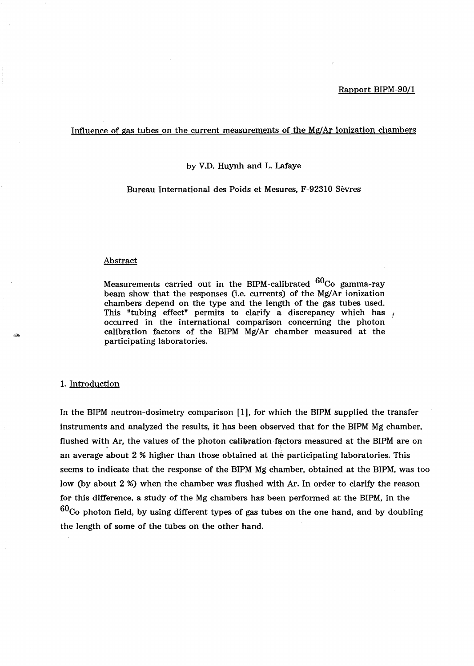### Influence of gas tubes on the current measurements of the Mg/Ar ionization chambers

by V.D. Huynh and L. Lafaye

Bureau International des Poids et Mesures, F-92310 Sevres

### Abstract

Measurements carried out in the BIPM-calibrated  $^{60}$ Co gamma-ray beam show that the responses (i.e. currents) of the Mg/Ar ionization chambers depend on the type and the length of the gas tubes used. This "tubing effect" permits to clarify a discrepancy which has occurred in the international comparison concerning the photon calibration factors of the BIPM Mg/Ar chamber measured at the participating laboratories.

# 1. Introduction

In the BIPM neutron-dosimetry comparison [1], for which the BIPM supplied the transfer instruments and analyzed the results, it has been observed that for the BIPM Mg chamber, flushed with Ar, the values of the photon calibration factors measured at the BIPM are on an average about 2 % higher than those obtained at the participating laboratories. This seems to indicate that the response of the BIPM Mg chamber, obtained at the BIPM, was too low (by about 2 %) when the chamber was flushed with Ar. In order to clarify the reason for this difference, a study of the Mg chambers has been performed at the BIPM, in the  $60<sub>Co</sub>$  photon field, by using different types of gas tubes on the one hand, and by doubling the length of some of the tubes on the other hand.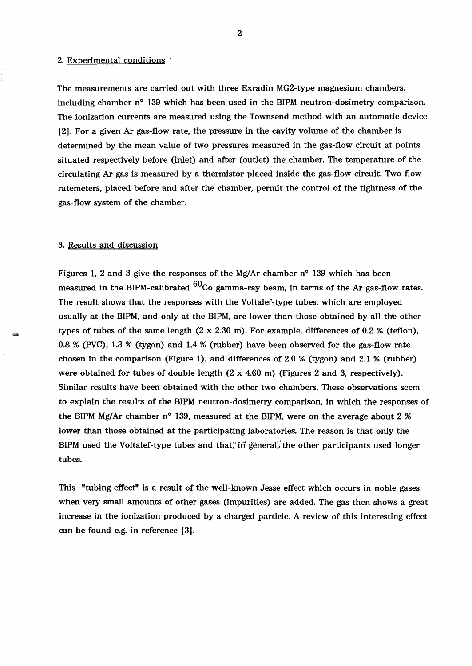#### 2. Experimental conditions

The measurements are carried out with three Exradin MG2-type magnesium chambers, including chamber n° 139 which has been used in the BIPM neutron-dosimetry comparison. The ionization currents are measured using the Townsend method with an automatic device [2]. For a given Ar gas-flow rate, the pressure in the cavity volume of the chamber is determined by the mean value of two pressures measured in the gas-flow circuit at points situated respectively before (inlet) and after (outlet) the chamber. The temperature of the circulating Ar gas is measured by a thermistor placed inside the gas-flow circuit. Two flow ratemeters, placed before and after the chamber, permit the control of the tightness of the gas-flow system of the chamber.

## 3. Results and discussion

Figures 1, 2 and 3 give the responses of the Mg/Ar chamber n° 139 which has been measured in the BIPM-calibrated  $^{60}$ Co gamma-ray beam, in terms of the Ar gas-flow rates. The result shows that the responses with the Voltalef-type tubes, which are employed usually at the BIPM, and only at the BIPM, are lower than those obtained by all the other types of tubes of the same length  $(2 \times 2.30 \text{ m})$ . For example, differences of 0.2 % (teflon), 0.8 % (PVC), 1.3 % (tygon) and 1.4 % (rubber) have been observed for the gas-flow rate chosen in the comparison (Figure 1), and differences of 2.0 % (tygon) and 2.1 % (rubber) were obtained for tubes of double length  $(2 \times 4.60 \text{ m})$  (Figures 2 and 3, respectively). Similar results have been obtained with the other two chambers. These observations seem to explain the results of the BIPM neutron-dosimetry comparison, in which the responses of the BIPM Mg/Ar chamber n° 139, measured at the BIPM, were on the average about 2 % lower than those obtained at the participating laboratories. The reason is that only the BIPM used the Voltalef-type tubes and that, in general, the other participants used longer tubes.

This "tubing effect" is a result of the well-known Jesse effect which occurs in noble gases when very small amounts of other gases (impurities) are added. The gas then shows a great increase in the ionization produced by a charged particle. A review of this interesting effect can be found e.g. in reference [3].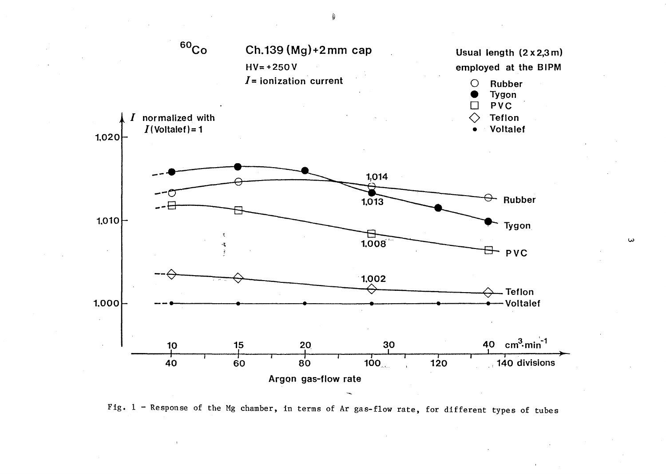

Fig.  $1$  - Response of the Mg chamber, in terms of Ar gas-flow rate, for different types of tubes

ىن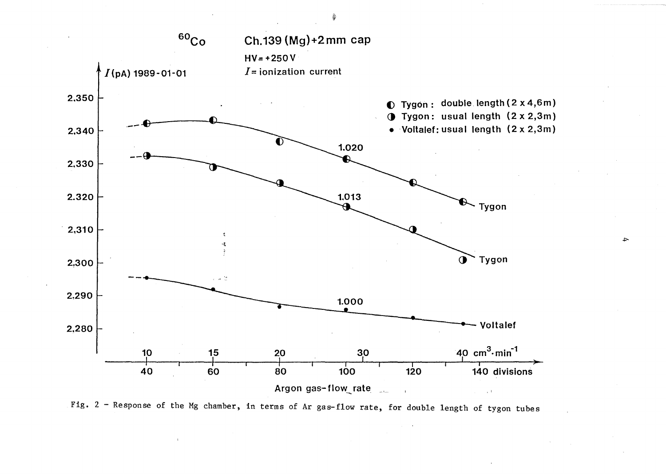

~

Fig. 2 - Response of the Mg chamber, in terms of Ar gas-flow rate, for double length of tygon tubes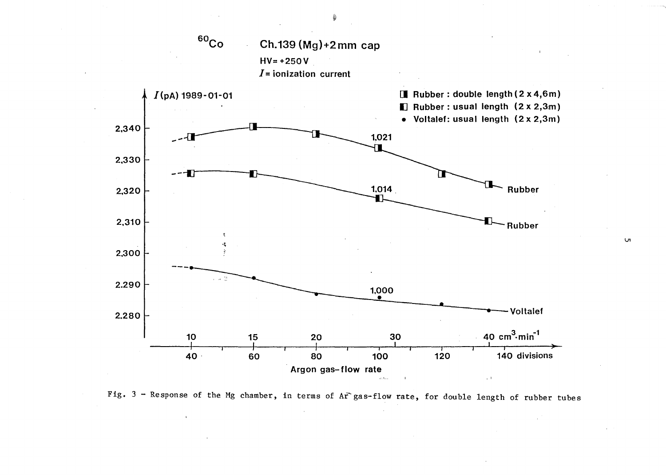

Fig.  $3$  - Response of the Mg chamber, in terms of Ar gas-flow rate, for double length of rubber tubes

 $\mathbf{v}$